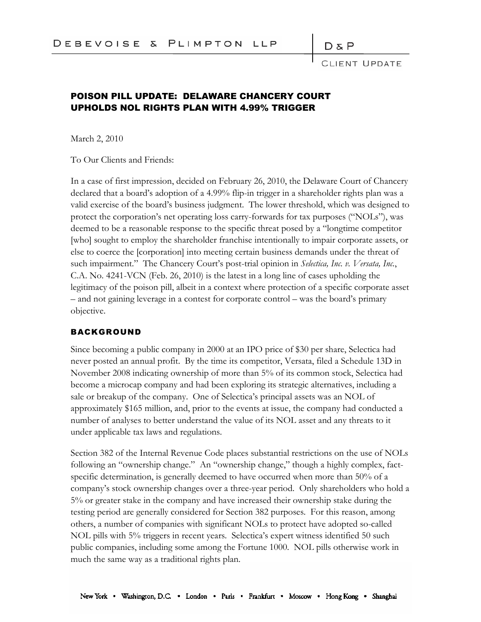## $D \& P$

CLIENT UPDATE

## POISON PILL UPDATE: DELAWARE CHANCERY COURT UPHOLDS NOL RIGHTS PLAN WITH 4.99% TRIGGER

March 2, 2010

To Our Clients and Friends:

In a case of first impression, decided on February 26, 2010, the Delaware Court of Chancery declared that a board's adoption of a 4.99% flip-in trigger in a shareholder rights plan was a valid exercise of the board's business judgment. The lower threshold, which was designed to protect the corporation's net operating loss carry-forwards for tax purposes ("NOLs"), was deemed to be a reasonable response to the specific threat posed by a "longtime competitor [who] sought to employ the shareholder franchise intentionally to impair corporate assets, or else to coerce the [corporation] into meeting certain business demands under the threat of such impairment." The Chancery Court's post-trial opinion in *Selectica, Inc. v. Versata, Inc.*, C.A. No. 4241-VCN (Feb. 26, 2010) is the latest in a long line of cases upholding the legitimacy of the poison pill, albeit in a context where protection of a specific corporate asset – and not gaining leverage in a contest for corporate control – was the board's primary objective.

## BACKGROUND

Since becoming a public company in 2000 at an IPO price of \$30 per share, Selectica had never posted an annual profit. By the time its competitor, Versata, filed a Schedule 13D in November 2008 indicating ownership of more than 5% of its common stock, Selectica had become a microcap company and had been exploring its strategic alternatives, including a sale or breakup of the company. One of Selectica's principal assets was an NOL of approximately \$165 million, and, prior to the events at issue, the company had conducted a number of analyses to better understand the value of its NOL asset and any threats to it under applicable tax laws and regulations.

Section 382 of the Internal Revenue Code places substantial restrictions on the use of NOLs following an "ownership change." An "ownership change," though a highly complex, factspecific determination, is generally deemed to have occurred when more than 50% of a company's stock ownership changes over a three-year period. Only shareholders who hold a 5% or greater stake in the company and have increased their ownership stake during the testing period are generally considered for Section 382 purposes. For this reason, among others, a number of companies with significant NOLs to protect have adopted so-called NOL pills with 5% triggers in recent years. Selectica's expert witness identified 50 such public companies, including some among the Fortune 1000. NOL pills otherwise work in much the same way as a traditional rights plan.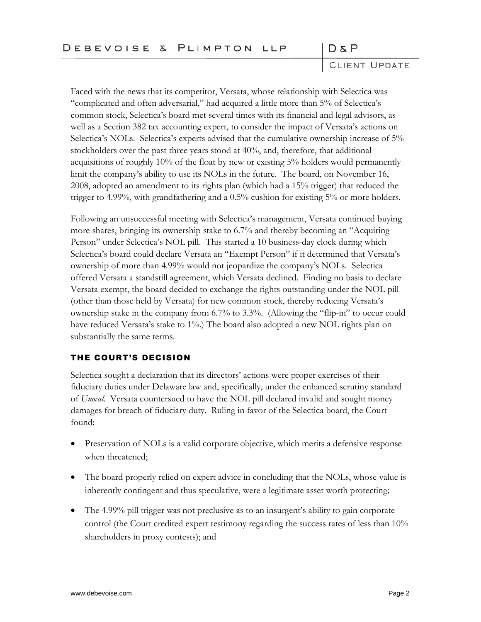$D \& P$ 

CLIENT UPDATE

Faced with the news that its competitor, Versata, whose relationship with Selectica was "complicated and often adversarial," had acquired a little more than 5% of Selectica's common stock, Selectica's board met several times with its financial and legal advisors, as well as a Section 382 tax accounting expert, to consider the impact of Versata's actions on Selectica's NOLs. Selectica's experts advised that the cumulative ownership increase of 5% stockholders over the past three years stood at 40%, and, therefore, that additional acquisitions of roughly 10% of the float by new or existing 5% holders would permanently limit the company's ability to use its NOLs in the future. The board, on November 16, 2008, adopted an amendment to its rights plan (which had a 15% trigger) that reduced the trigger to 4.99%, with grandfathering and a 0.5% cushion for existing 5% or more holders.

Following an unsuccessful meeting with Selectica's management, Versata continued buying more shares, bringing its ownership stake to 6.7% and thereby becoming an "Acquiring Person" under Selectica's NOL pill. This started a 10 business-day clock during which Selectica's board could declare Versata an "Exempt Person" if it determined that Versata's ownership of more than 4.99% would not jeopardize the company's NOLs. Selectica offered Versata a standstill agreement, which Versata declined. Finding no basis to declare Versata exempt, the board decided to exchange the rights outstanding under the NOL pill (other than those held by Versata) for new common stock, thereby reducing Versata's ownership stake in the company from 6.7% to 3.3%. (Allowing the "flip-in" to occur could have reduced Versata's stake to 1%.) The board also adopted a new NOL rights plan on substantially the same terms.

## THE COURT'S DECISION

Selectica sought a declaration that its directors' actions were proper exercises of their fiduciary duties under Delaware law and, specifically, under the enhanced scrutiny standard of *Unocal*. Versata countersued to have the NOL pill declared invalid and sought money damages for breach of fiduciary duty. Ruling in favor of the Selectica board, the Court found:

- Preservation of NOLs is a valid corporate objective, which merits a defensive response when threatened;
- The board properly relied on expert advice in concluding that the NOLs, whose value is inherently contingent and thus speculative, were a legitimate asset worth protecting;
- The 4.99% pill trigger was not preclusive as to an insurgent's ability to gain corporate control (the Court credited expert testimony regarding the success rates of less than 10% shareholders in proxy contests); and